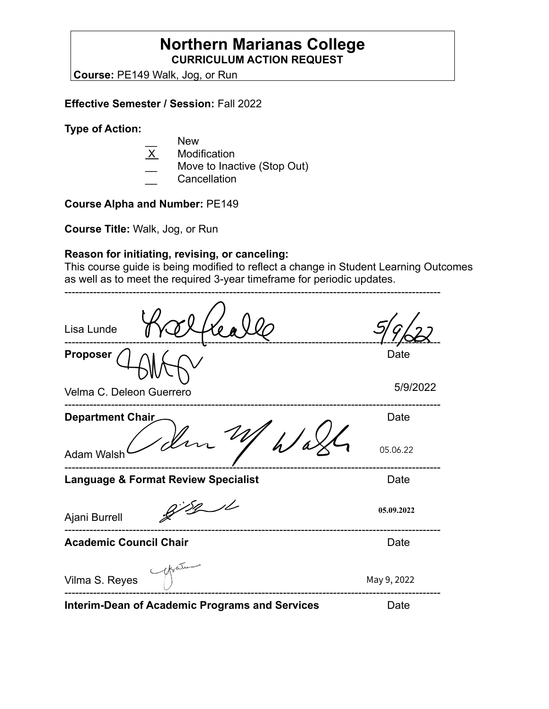# **Northern Marianas College CURRICULUM ACTION REQUEST**

**Course:** PE149 Walk, Jog, or Run

### **Effective Semester / Session:** Fall 2022

**Type of Action:**

- New
- X Modification
- Move to Inactive (Stop Out)
- **Cancellation**

**Course Alpha and Number:** PE149

**Course Title:** Walk, Jog, or Run

## **Reason for initiating, revising, or canceling:**

This course guide is being modified to reflect a change in Student Learning Outcomes as well as to meet the required 3-year timeframe for periodic updates.

| Lisa Lunde                                            |             |
|-------------------------------------------------------|-------------|
| <b>Proposer</b>                                       | Date        |
| Velma C. Deleon Guerrero                              | 5/9/2022    |
| Department Chair                                      | Date        |
| <b>Adam Walsh</b>                                     | 05.06.22    |
| <b>Language &amp; Format Review Specialist</b>        | Date        |
| Ajani Burrell                                         | 05.09.2022  |
| <b>Academic Council Chair</b>                         | Date        |
| Vilma S. Reyes                                        | May 9, 2022 |
| <b>Interim-Dean of Academic Programs and Services</b> | Date        |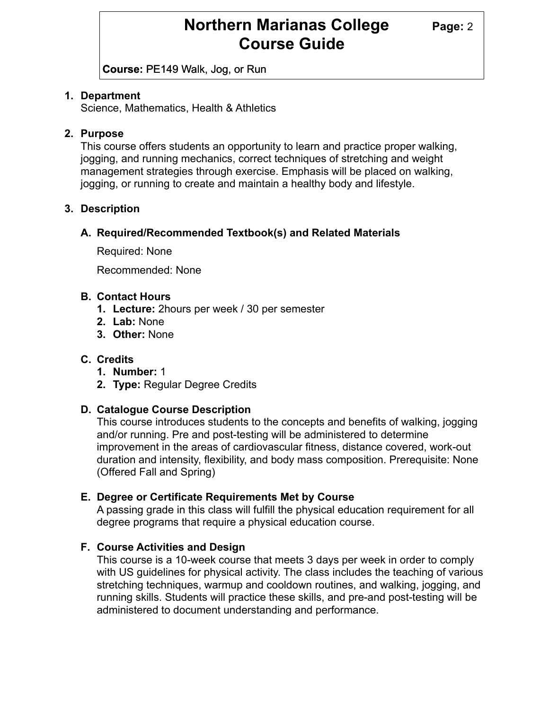# **Northern Marianas College** Page: 2 **Course Guide**

**Course:** PE149 Walk, Jog, or Run

## **1. Department**

Science, Mathematics, Health & Athletics

### **2. Purpose**

This course offers students an opportunity to learn and practice proper walking, jogging, and running mechanics, correct techniques of stretching and weight management strategies through exercise. Emphasis will be placed on walking, jogging, or running to create and maintain a healthy body and lifestyle.

### **3. Description**

# **A. Required/Recommended Textbook(s) and Related Materials**

Required: None

Recommended: None

### **B. Contact Hours**

- **1. Lecture:** 2hours per week / 30 per semester
- **2. Lab:** None
- **3. Other:** None

## **C. Credits**

- **1. Number:** 1
- **2. Type:** Regular Degree Credits

# **D. Catalogue Course Description**

This course introduces students to the concepts and benefits of walking, jogging and/or running. Pre and post-testing will be administered to determine improvement in the areas of cardiovascular fitness, distance covered, work-out duration and intensity, flexibility, and body mass composition. Prerequisite: None (Offered Fall and Spring)

# **E. Degree or Certificate Requirements Met by Course**

A passing grade in this class will fulfill the physical education requirement for all degree programs that require a physical education course.

### **F. Course Activities and Design**

This course is a 10-week course that meets 3 days per week in order to comply with US guidelines for physical activity. The class includes the teaching of various stretching techniques, warmup and cooldown routines, and walking, jogging, and running skills. Students will practice these skills, and pre-and post-testing will be administered to document understanding and performance.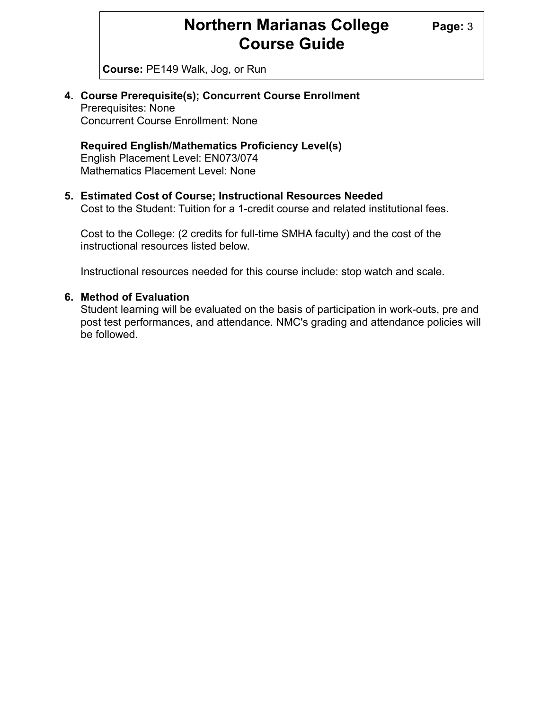# **Northern Marianas College** Page: 3 **Course Guide**

**Course:** PE149 Walk, Jog, or Run

#### **4. Course Prerequisite(s); Concurrent Course Enrollment** Prerequisites: None Concurrent Course Enrollment: None

# **Required English/Mathematics Proficiency Level(s)**

English Placement Level: EN073/074 Mathematics Placement Level: None

#### **5. Estimated Cost of Course; Instructional Resources Needed**

Cost to the Student: Tuition for a 1-credit course and related institutional fees.

Cost to the College: (2 credits for full-time SMHA faculty) and the cost of the instructional resources listed below.

Instructional resources needed for this course include: stop watch and scale.

#### **6. Method of Evaluation**

Student learning will be evaluated on the basis of participation in work-outs, pre and post test performances, and attendance. NMC's grading and attendance policies will be followed.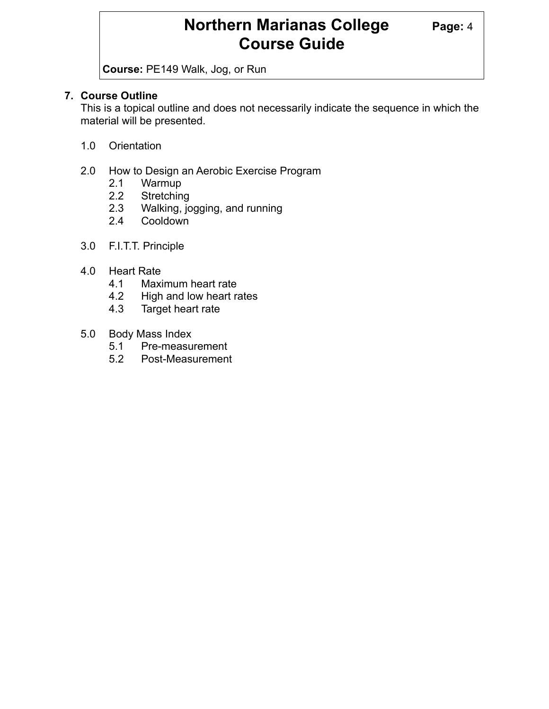# **Northern Marianas College Page: 4 Course Guide**

**Course:** PE149 Walk, Jog, or Run

### **7. Course Outline**

This is a topical outline and does not necessarily indicate the sequence in which the material will be presented.

- 1.0 Orientation
- 2.0 How to Design an Aerobic Exercise Program
	- 2.1 Warmup
	- 2.2 Stretching
	- 2.3 Walking, jogging, and running
	- 2.4 Cooldown
- 3.0 F.I.T.T. Principle
- 4.0 Heart Rate
	- 4.1 Maximum heart rate
	- 4.2 High and low heart rates
	- 4.3 Target heart rate
- 5.0 Body Mass Index
	- 5.1 Pre-measurement
	- 5.2 Post-Measurement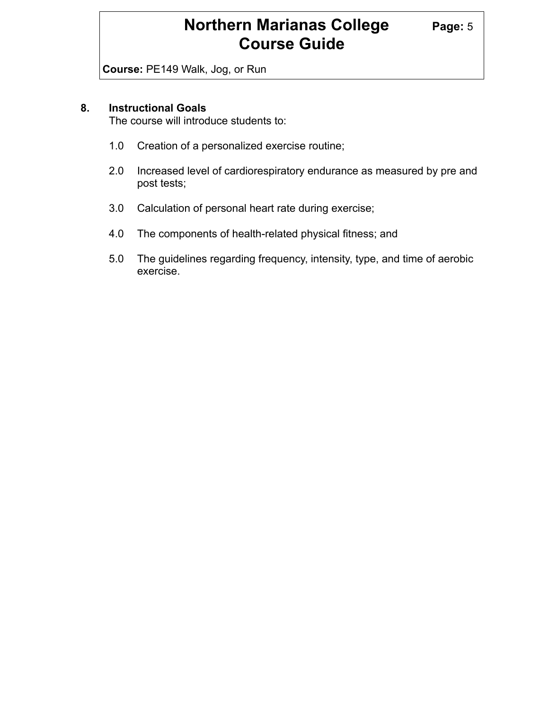# **Northern Marianas College** Page: 5 **Course Guide**

**Course:** PE149 Walk, Jog, or Run

### **8. Instructional Goals**

The course will introduce students to:

- 1.0 Creation of a personalized exercise routine;
- 2.0 Increased level of cardiorespiratory endurance as measured by pre and post tests;
- 3.0 Calculation of personal heart rate during exercise;
- 4.0 The components of health-related physical fitness; and
- 5.0 The guidelines regarding frequency, intensity, type, and time of aerobic exercise.